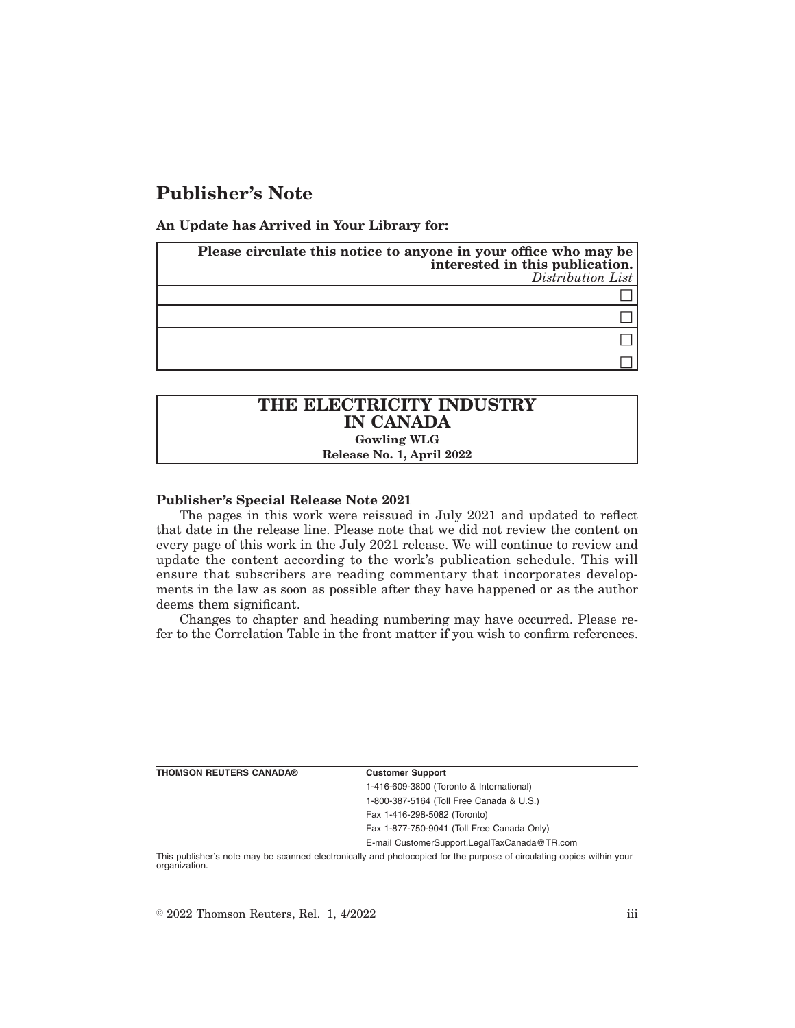# **Publisher's Note**

**An Update has Arrived in Your Library for:**

| Please circulate this notice to anyone in your office who may be<br>interested in this publication.<br>Distribution List |
|--------------------------------------------------------------------------------------------------------------------------|
|                                                                                                                          |
|                                                                                                                          |
|                                                                                                                          |
|                                                                                                                          |

# **THE ELECTRICITY INDUSTRY IN CANADA Gowling WLG Release No. 1, April 2022**

#### **Publisher's Special Release Note 2021**

The pages in this work were reissued in July 2021 and updated to reflect that date in the release line. Please note that we did not review the content on every page of this work in the July 2021 release. We will continue to review and update the content according to the work's publication schedule. This will ensure that subscribers are reading commentary that incorporates developments in the law as soon as possible after they have happened or as the author deems them significant.

Changes to chapter and heading numbering may have occurred. Please refer to the Correlation Table in the front matter if you wish to confirm references.

| <b>Customer Support</b>                      |
|----------------------------------------------|
| 1-416-609-3800 (Toronto & International)     |
| 1-800-387-5164 (Toll Free Canada & U.S.)     |
| Fax 1-416-298-5082 (Toronto)                 |
| Fax 1-877-750-9041 (Toll Free Canada Only)   |
| E-mail CustomerSupport.LegalTaxCanada@TR.com |

This publisher's note may be scanned electronically and photocopied for the purpose of circulating copies within your organization.

 $\degree$  2022 Thomson Reuters, Rel. 1, 4/2022 iii

**THOMSON REUTERS CANADA®**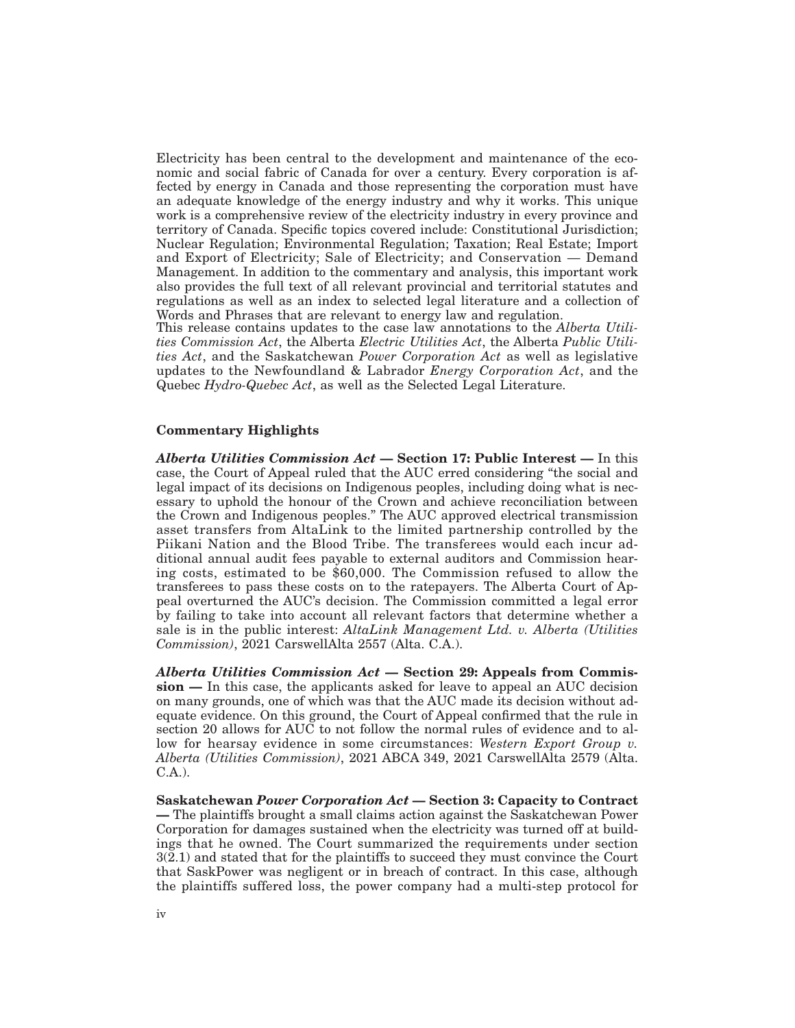Electricity has been central to the development and maintenance of the economic and social fabric of Canada for over a century. Every corporation is affected by energy in Canada and those representing the corporation must have an adequate knowledge of the energy industry and why it works. This unique work is a comprehensive review of the electricity industry in every province and territory of Canada. Specific topics covered include: Constitutional Jurisdiction; Nuclear Regulation; Environmental Regulation; Taxation; Real Estate; Import and Export of Electricity; Sale of Electricity; and Conservation — Demand Management. In addition to the commentary and analysis, this important work also provides the full text of all relevant provincial and territorial statutes and regulations as well as an index to selected legal literature and a collection of Words and Phrases that are relevant to energy law and regulation.

This release contains updates to the case law annotations to the *Alberta Utilities Commission Act*, the Alberta *Electric Utilities Act*, the Alberta *Public Utilities Act*, and the Saskatchewan *Power Corporation Act* as well as legislative updates to the Newfoundland & Labrador *Energy Corporation Act*, and the Quebec *Hydro-Quebec Act*, as well as the Selected Legal Literature.

## **Commentary Highlights**

*Alberta Utilities Commission Act* **— Section 17: Public Interest —** In this case, the Court of Appeal ruled that the AUC erred considering "the social and legal impact of its decisions on Indigenous peoples, including doing what is necessary to uphold the honour of the Crown and achieve reconciliation between the Crown and Indigenous peoples." The AUC approved electrical transmission asset transfers from AltaLink to the limited partnership controlled by the Piikani Nation and the Blood Tribe. The transferees would each incur additional annual audit fees payable to external auditors and Commission hearing costs, estimated to be \$60,000. The Commission refused to allow the transferees to pass these costs on to the ratepayers. The Alberta Court of Appeal overturned the AUC's decision. The Commission committed a legal error by failing to take into account all relevant factors that determine whether a sale is in the public interest: *AltaLink Management Ltd. v. Alberta (Utilities Commission)*, 2021 CarswellAlta 2557 (Alta. C.A.).

*Alberta Utilities Commission Act* **— Section 29: Appeals from Commission —** In this case, the applicants asked for leave to appeal an AUC decision on many grounds, one of which was that the AUC made its decision without adequate evidence. On this ground, the Court of Appeal confirmed that the rule in section 20 allows for AUC to not follow the normal rules of evidence and to allow for hearsay evidence in some circumstances: *Western Export Group v. Alberta (Utilities Commission)*, 2021 ABCA 349, 2021 CarswellAlta 2579 (Alta. C.A.).

**Saskatchewan** *Power Corporation Act* **— Section 3: Capacity to Contract —** The plaintiffs brought a small claims action against the Saskatchewan Power Corporation for damages sustained when the electricity was turned off at buildings that he owned. The Court summarized the requirements under section 3(2.1) and stated that for the plaintiffs to succeed they must convince the Court that SaskPower was negligent or in breach of contract. In this case, although the plaintiffs suffered loss, the power company had a multi-step protocol for